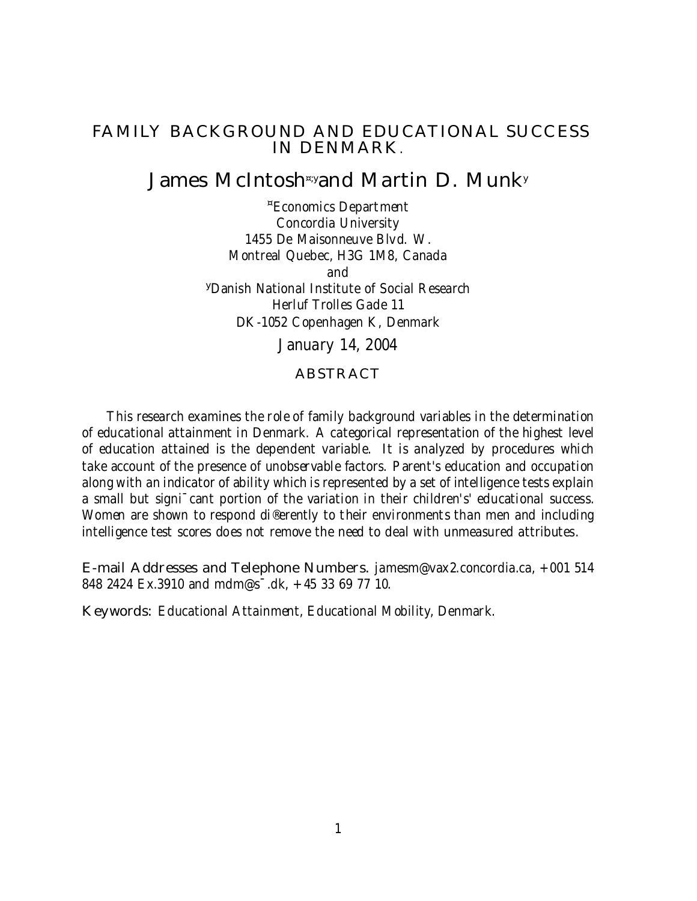### FAMILY BACKGROUND AND EDUCATIONAL SUCCESS IN DENMARK.

## James McIntosh¤;yand Martin D. Munk<sup>y</sup>

¤Economics Department Concordia University 1455 De Maisonneuve Blvd. W. Montreal Quebec, H3G 1M8, Canada and <sup>y</sup>Danish National Institute of Social Research Herluf Trolles Gade 11 DK-1052 Copenhagen K, Denmark

January 14, 2004

#### ABSTRACT

This research examines the role of family background variables in the determination of educational attainment in Denmark. A categorical representation of the highest level of education attained is the dependent variable. It is analyzed by procedures which take account of the presence of unobservable factors. Parent's education and occupation along with an indicator of ability which is represented by a set of intelligence tests explain a small but signi<sup>-</sup>cant portion of the variation in their children's' educational success. Women are shown to respond di®erently to their environments than men and including intelligence test scores does not remove the need to deal with unmeasured attributes.

E-mail Addresses and Telephone Numbers. jamesm@vax2.concordia.ca, +001 514 848 2424 Ex.3910 and mdm@s¯.dk, +45 33 69 77 10.

Keywords: Educational Attainment, Educational Mobility, Denmark.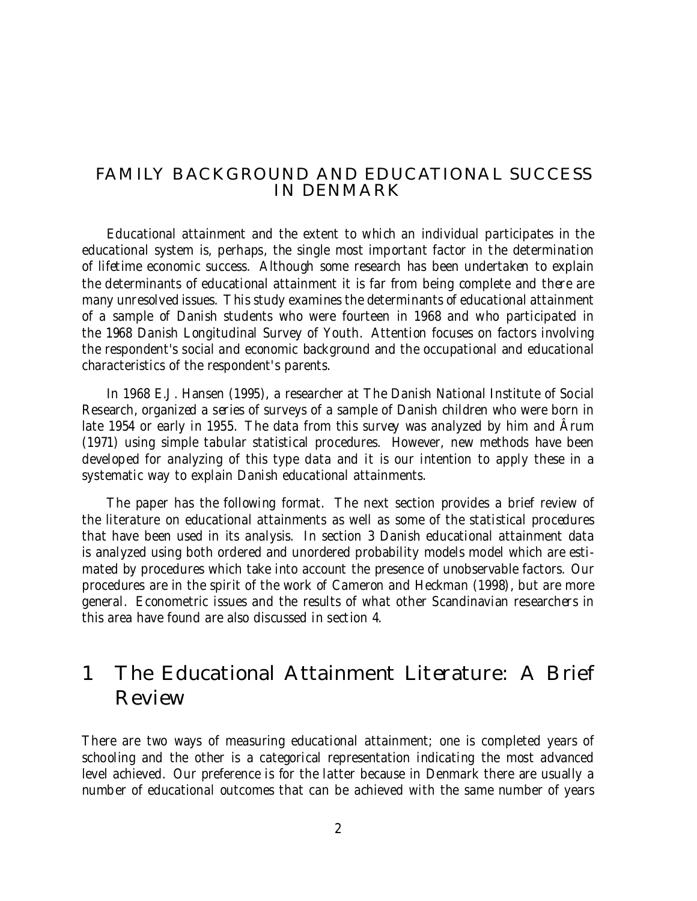### FAMILY BACKGROUND AND EDUCATIONAL SUCCESS IN DENMARK

Educational attainment and the extent to which an individual participates in the educational system is, perhaps, the single most important factor in the determination of lifetime economic success. Although some research has been undertaken to explain the determinants of educational attainment it is far from being complete and there are many unresolved issues. This study examines the determinants of educational attainment of a sample of Danish students who were fourteen in 1968 and who participated in the 1968 Danish Longitudinal Survey of Youth. Attention focuses on factors involving the respondent's social and economic background and the occupational and educational characteristics of the respondent's parents.

In 1968 E.J. Hansen (1995), a researcher at The Danish National Institute of Social Research, organized a series of surveys of a sample of Danish children who were born in late 1954 or early in 1955. The data from this survey was analyzed by him and Ârum (1971) using simple tabular statistical procedures. However, new methods have been developed for analyzing of this type data and it is our intention to apply these in a systematic way to explain Danish educational attainments.

The paper has the following format. The next section provides a brief review of the literature on educational attainments as well as some of the statistical procedures that have been used in its analysis. In section 3 Danish educational attainment data is analyzed using both ordered and unordered probability models model which are estimated by procedures which take into account the presence of unobservable factors. Our procedures are in the spirit of the work of Cameron and Heckman (1998), but are more general. Econometric issues and the results of what other Scandinavian researchers in this area have found are also discussed in section 4.

# 1 The Educational Attainment Literature: A Brief Review

There are two ways of measuring educational attainment; one is completed years of schooling and the other is a categorical representation indicating the most advanced level achieved. Our preference is for the latter because in Denmark there are usually a number of educational outcomes that can be achieved with the same number of years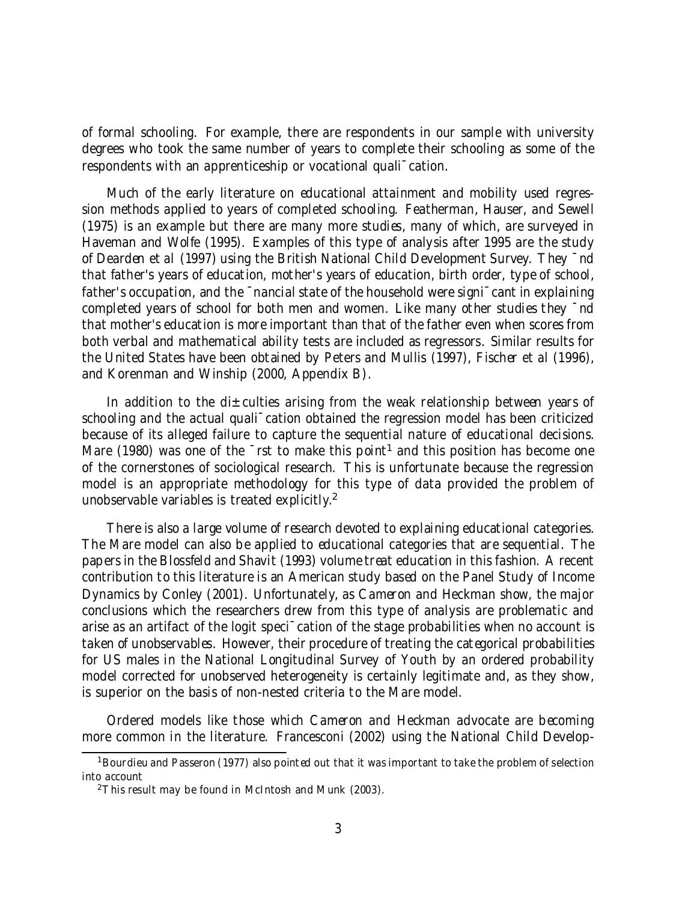of formal schooling. For example, there are respondents in our sample with university degrees who took the same number of years to complete their schooling as some of the respondents with an apprenticeship or vocational quali¯cation.

Much of the early literature on educational attainment and mobility used regression methods applied to years of completed schooling. Featherman, Hauser, and Sewell (1975) is an example but there are many more studies, many of which, are surveyed in Haveman and Wolfe (1995). Examples of this type of analysis after 1995 are the study of Dearden et al (1997) using the British National Child Development Survey. They ¯nd that father's years of education, mother's years of education, birth order, type of school, father's occupation, and the  $\bar{ }$ nancial state of the household were signi $\bar{ }$ cant in explaining completed years of school for both men and women. Like many other studies they ¯nd that mother's education is more important than that of the father even when scores from both verbal and mathematical ability tests are included as regressors. Similar results for the United States have been obtained by Peters and Mullis (1997), Fischer et al (1996), and Korenman and Winship (2000, Appendix B).

In addition to the di $\pm$ culties arising from the weak relationship between years of schooling and the actual quali<sup>-</sup>cation obtained the regression model has been criticized because of its alleged failure to capture the sequential nature of educational decisions. Mare (1980) was one of the <sup>-</sup>rst to make this point<sup>1</sup> and this position has become one of the cornerstones of sociological research. This is unfortunate because the regression model is an appropriate methodology for this type of data provided the problem of unobservable variables is treated explicitly.<sup>2</sup>

There is also a large volume of research devoted to explaining educational categories. The Mare model can also be applied to educational categories that are sequential. The papers in the Blossfeld and Shavit (1993) volume treat education in this fashion. A recent contribution to this literature is an American study based on the Panel Study of Income Dynamics by Conley (2001). Unfortunately, as Cameron and Heckman show, the major conclusions which the researchers drew from this type of analysis are problematic and arise as an artifact of the logit speci¯cation of the stage probabilities when no account is taken of unobservables. However, their procedure of treating the categorical probabilities for US males in the National Longitudinal Survey of Youth by an ordered probability model corrected for unobserved heterogeneity is certainly legitimate and, as they show, is superior on the basis of non-nested criteria to the Mare model.

Ordered models like those which Cameron and Heckman advocate are becoming more common in the literature. Francesconi (2002) using the National Child Develop-

<sup>&</sup>lt;sup>1</sup> Bourdieu and Passeron (1977) also pointed out that it was important to take the problem of selection into account

<sup>2</sup>This result may be found in McIntosh and Munk (2003).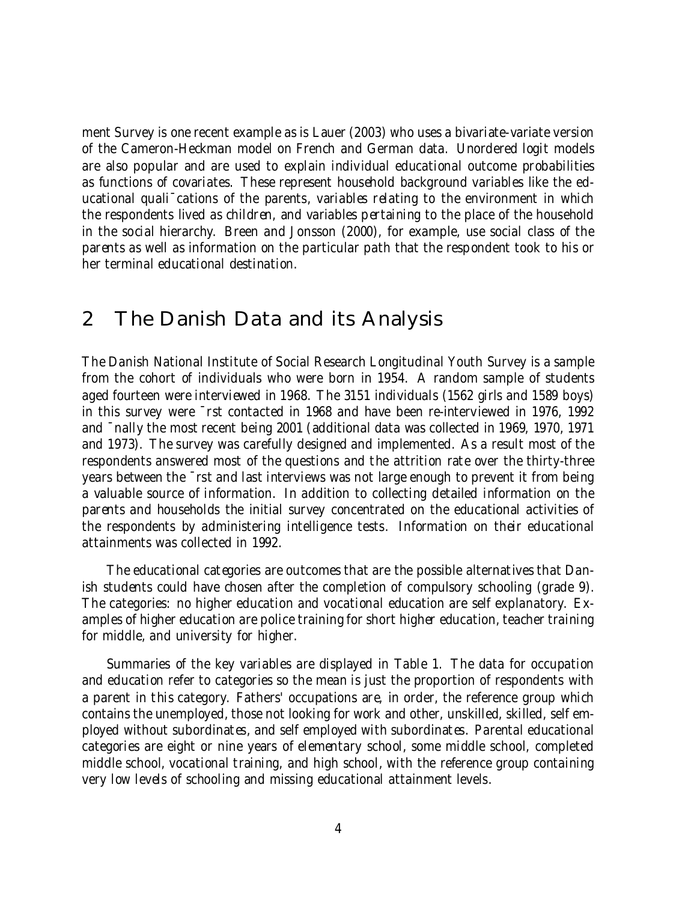ment Survey is one recent example as is Lauer (2003) who uses a bivariate-variate version of the Cameron-Heckman model on French and German data. Unordered logit models are also popular and are used to explain individual educational outcome probabilities as functions of covariates. These represent household background variables like the educational quali<sup>-</sup>cations of the parents, variables relating to the environment in which the respondents lived as children, and variables pertaining to the place of the household in the social hierarchy. Breen and Jonsson (2000), for example, use social class of the parents as well as information on the particular path that the respondent took to his or her terminal educational destination.

# 2 The Danish Data and its Analysis

The Danish National Institute of Social Research Longitudinal Youth Survey is a sample from the cohort of individuals who were born in 1954. A random sample of students aged fourteen were interviewed in 1968. The 3151 individuals (1562 girls and 1589 boys) in this survey were ¯rst contacted in 1968 and have been re-interviewed in 1976, 1992 and ¯nally the most recent being 2001 (additional data was collected in 1969, 1970, 1971 and 1973). The survey was carefully designed and implemented. As a result most of the respondents answered most of the questions and the attrition rate over the thirty-three years between the ¯rst and last interviews was not large enough to prevent it from being a valuable source of information. In addition to collecting detailed information on the parents and households the initial survey concentrated on the educational activities of the respondents by administering intelligence tests. Information on their educational attainments was collected in 1992.

The educational categories are outcomes that are the possible alternatives that Danish students could have chosen after the completion of compulsory schooling (grade 9). The categories: no higher education and vocational education are self explanatory. Examples of higher education are police training for short higher education, teacher training for middle, and university for higher.

Summaries of the key variables are displayed in Table 1. The data for occupation and education refer to categories so the mean is just the proportion of respondents with a parent in this category. Fathers' occupations are, in order, the reference group which contains the unemployed, those not looking for work and other, unskilled, skilled, self employed without subordinates, and self employed with subordinates. Parental educational categories are eight or nine years of elementary school, some middle school, completed middle school, vocational training, and high school, with the reference group containing very low levels of schooling and missing educational attainment levels.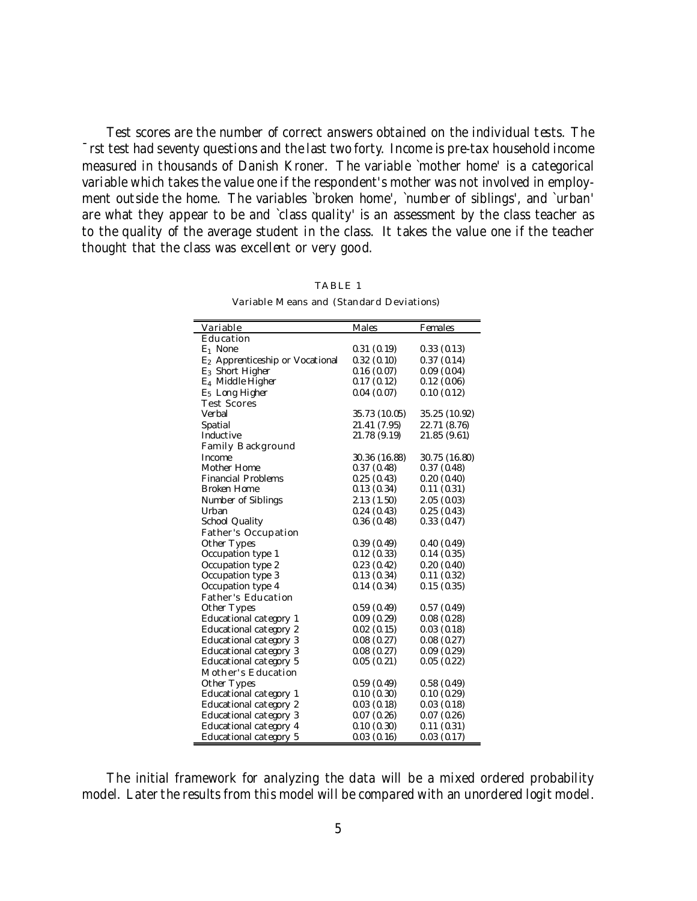Test scores are the number of correct answers obtained on the individual tests. The ¯rst test had seventy questions and the last two forty. Income is pre-tax household income measured in thousands of Danish Kroner. The variable `mother home' is a categorical variable which takes the value one if the respondent's mother was not involved in employment outside the home. The variables `broken home', `number of siblings', and `urban' are what they appear to be and `class quality' is an assessment by the class teacher as to the quality of the average student in the class. It takes the value one if the teacher thought that the class was excellent or very good.

| Variable                                    | Males         | Females       |
|---------------------------------------------|---------------|---------------|
| Education                                   |               |               |
| $E_1$ None                                  | 0.31(0.19)    | 0.33(0.13)    |
| E <sub>2</sub> Apprenticeship or Vocational | 0.32(0.10)    | 0.37(0.14)    |
| E <sub>3</sub> Short Higher                 | 0.16(0.07)    | 0.09(0.04)    |
| $E_4$ Middle Higher                         | 0.17(0.12)    | 0.12(0.06)    |
| E <sub>5</sub> Long Higher                  | 0.04(0.07)    | 0.10(0.12)    |
| <b>Test Scores</b>                          |               |               |
| Verbal                                      | 35.73 (10.05) | 35.25 (10.92) |
| Spatial                                     | 21.41 (7.95)  | 22.71 (8.76)  |
| Inductive                                   | 21.78 (9.19)  | 21.85 (9.61)  |
| Family Background                           |               |               |
| Income                                      | 30.36 (16.88) | 30.75 (16.80) |
| Mother Home                                 | 0.37(0.48)    | 0.37(0.48)    |
| <b>Financial Problems</b>                   | 0.25(0.43)    | 0.20(0.40)    |
| <b>Broken Home</b>                          | 0.13(0.34)    | 0.11(0.31)    |
| Number of Siblings                          | 2.13(1.50)    | 2.05(0.03)    |
| Urban                                       | 0.24(0.43)    | 0.25(0.43)    |
| School Quality                              | 0.36(0.48)    | 0.33(0.47)    |
| Father's Occupation                         |               |               |
| Other Types                                 | 0.39(0.49)    | 0.40(0.49)    |
| Occupation type 1                           | 0.12(0.33)    | 0.14(0.35)    |
| Occupation type 2                           | 0.23(0.42)    | 0.20(0.40)    |
| Occupation type 3                           | 0.13(0.34)    | 0.11(0.32)    |
| Occupation type 4                           | 0.14(0.34)    | 0.15(0.35)    |
| <b>Father's Education</b>                   |               |               |
| Other Types                                 | 0.59(0.49)    | 0.57(0.49)    |
| Educational category 1                      | 0.09(0.29)    | 0.08(0.28)    |
| Educational category 2                      | 0.02(0.15)    | 0.03(0.18)    |
| Educational category 3                      | 0.08(0.27)    | 0.08(0.27)    |
| Educational category 3                      | 0.08(0.27)    | 0.09(0.29)    |
| Educational category 5                      | 0.05(0.21)    | 0.05(0.22)    |
| Mother's Education                          |               |               |
| Other Types                                 | 0.59(0.49)    | 0.58(0.49)    |
| Educational category 1                      | 0.10(0.30)    | 0.10(0.29)    |
| Educational category 2                      | 0.03(0.18)    | 0.03(0.18)    |
| Educational category 3                      | 0.07(0.26)    | 0.07(0.26)    |
| Educational category 4                      | 0.10(0.30)    | 0.11(0.31)    |
| Educational category 5                      | 0.03(0.16)    | 0.03(0.17)    |

TABLE 1 Variable Means and (Standard Deviations)

The initial framework for analyzing the data will be a mixed ordered probability model. Later the results from this model will be compared with an unordered logit model.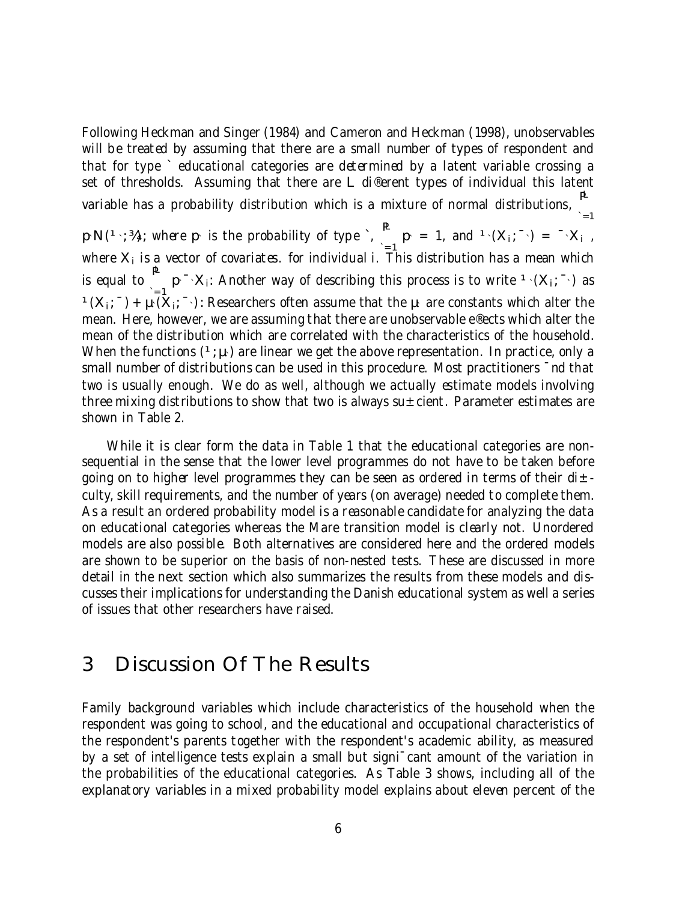Following Heckman and Singer (1984) and Cameron and Heckman (1998), unobservables will be treated by assuming that there are a small number of types of respondent and that for type ` educational categories are determined by a latent variable crossing a set of thresholds. Assuming that there are L di®erent types of individual this latent variable has a probability distribution which is a mixture of normal distributions,  $\mathbf{P}$ 

`=1  $p\cdot N(1\cdot; M)$ ; where  $p\cdot$  is the probability of type `,  $p\cdot = 1$ , and  $1\cdot (X_1; \neg) = \neg X_1$ , where  $\mathsf{X}_\mathsf{i}$  is a vector of covariates. for individual i. This distribution has a mean which is equal to  $\overset{\mathbf{p}}{=}$  p $\cdot$   $\times$ <sub>i</sub>: Another way of describing this process is to write  $\cdot$   $(X_i; \overset{\frown}{\cdot})$  as  $(1)(X_i; \bar{a}) + \mu^2(X_i; \bar{a})$ : Researchers often assume that the  $\mu$  are constants which alter the mean. Here, however, we are assuming that there are unobservable e®ects which alter the mean of the distribution which are correlated with the characteristics of the household. When the functions  $(1;\mu)$  are linear we get the above representation. In practice, only a small number of distributions can be used in this procedure. Most practitioners  $\overline{\phantom{a}}$  nd that two is usually enough. We do as well, although we actually estimate models involving three mixing distributions to show that two is always su $\pm$ cient. Parameter estimates are shown in Table 2.

While it is clear form the data in Table 1 that the educational categories are nonsequential in the sense that the lower level programmes do not have to be taken before going on to higher level programmes they can be seen as ordered in terms of their di $\pm$ culty, skill requirements, and the number of years (on average) needed to complete them. As a result an ordered probability model is a reasonable candidate for analyzing the data on educational categories whereas the Mare transition model is clearly not. Unordered models are also possible. Both alternatives are considered here and the ordered models are shown to be superior on the basis of non-nested tests. These are discussed in more detail in the next section which also summarizes the results from these models and discusses their implications for understanding the Danish educational system as well a series of issues that other researchers have raised.

## 3 Discussion Of The Results

Family background variables which include characteristics of the household when the respondent was going to school, and the educational and occupational characteristics of the respondent's parents together with the respondent's academic ability, as measured by a set of intelligence tests explain a small but signi¯cant amount of the variation in the probabilities of the educational categories. As Table 3 shows, including all of the explanatory variables in a mixed probability model explains about eleven percent of the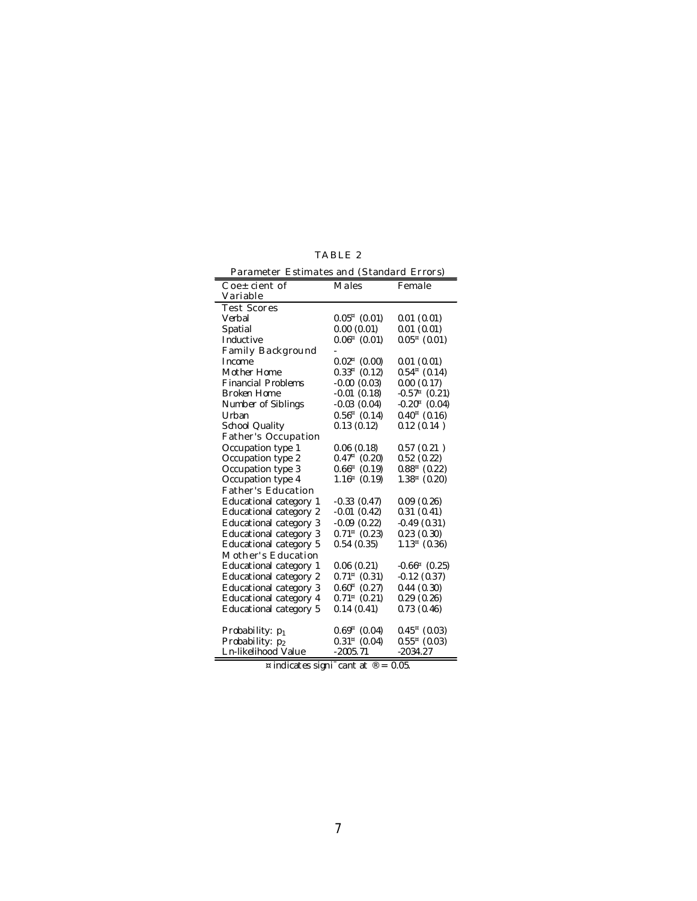| ABI |  |
|-----|--|
|-----|--|

| Parameter Estimates and (Standard Errors)    |                     |                      |  |  |
|----------------------------------------------|---------------------|----------------------|--|--|
| $\text{Coe} \pm \text{cient of}$<br>Variable | Males               | Female               |  |  |
| <b>Test Scores</b>                           |                     |                      |  |  |
| Verbal                                       | $0.05^{\mu}$ (0.01) | 0.01(0.01)           |  |  |
| Spatial                                      | 0.00(0.01)          | 0.01(0.01)           |  |  |
| I nduct ive                                  | $0.06π$ (0.01)      | $0.05π$ (0.01)       |  |  |
| Family Background                            |                     |                      |  |  |
| <b>Income</b>                                | $0.02^{\mu}$ (0.00) | 0.01(0.01)           |  |  |
| Mother Home                                  | $0.33^{\mu}$ (0.12) | $0.54^{\mu}$ (0.14)  |  |  |
| <b>Financial Problems</b>                    | $-0.00(0.03)$       | 0.00(0.17)           |  |  |
| Broken Home                                  | $-0.01(0.18)$       | $-0.57π$ (0.21)      |  |  |
| Number of Siblings                           | $-0.03(0.04)$       | $-0.20^{\mu}$ (0.04) |  |  |
| Urban                                        | $0.56^{\mu}$ (0.14) | $0.40^{\mu}$ (0.16)  |  |  |
| School Quality                               | 0.13(0.12)          | 0.12(0.14)           |  |  |
| Father's Occupation                          |                     |                      |  |  |
| Occupation type 1                            | 0.06(0.18)          | 0.57(0.21)           |  |  |
| Occupation type 2                            | $0.47^{\mu}$ (0.20) | 0.52(0.22)           |  |  |
| Occupation type 3                            | $0.66^{\mu}$ (0.19) | $0.88π$ (0.22)       |  |  |
| Occupation type 4                            | $1.16π$ (0.19)      | $1.38π$ (0.20)       |  |  |
| Father's Education                           |                     |                      |  |  |
| Educational category 1                       | $-0.33(0.47)$       | 0.09(0.26)           |  |  |
| Educational category 2                       | $-0.01(0.42)$       | 0.31(0.41)           |  |  |
| Educational category 3                       | $-0.09$ $(0.22)$    | $-0.49(0.31)$        |  |  |
| Educational category 3                       | $0.71^{\mu}$ (0.23) | 0.23(0.30)           |  |  |
| Educational category 5                       | 0.54(0.35)          | $1.13^{x}$ (0.36)    |  |  |
| Mother's Education                           |                     |                      |  |  |
| Educational category 1                       | 0.06(0.21)          | $-0.66π$ (0.25)      |  |  |
| Educational category 2                       | $0.71^{\mu}$ (0.31) | $-0.12(0.37)$        |  |  |
| Educational category 3                       | $0.60^{\mu}$ (0.27) | 0.44(0.30)           |  |  |
| Educational category 4                       | $0.71^{\mu}$ (0.21) | 0.29(0.26)           |  |  |
| Educational category 5                       | 0.14(0.41)          | 0.73(0.46)           |  |  |
| Probability: p <sub>1</sub>                  | $0.69^{\mu}$ (0.04) | $0.45^{\mu}$ (0.03)  |  |  |
| Probability: p2                              | $0.31^{\mu}$ (0.04) | $0.55^{\pi}$ (0.03)  |  |  |
| Ln-likelihood Value                          | $-2005.71$          | $-2034.27$           |  |  |

¤ indicates signi $\bar{c}$  cant at  $\mathcal{D} = 0.05$ .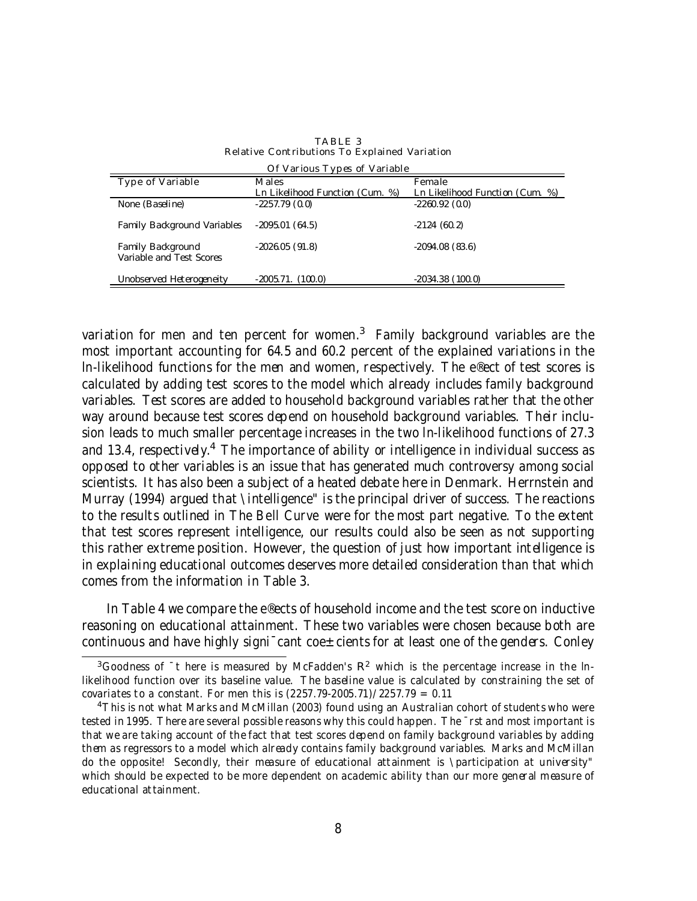| Of Various Types of Variable |                                 |                                 |  |  |
|------------------------------|---------------------------------|---------------------------------|--|--|
| <b>Type of Variable</b>      | <b>Males</b>                    | Female                          |  |  |
|                              | Ln Likelihood Function (Cum. %) | Ln Likelihood Function (Cum. %) |  |  |
| None (Baseline)              | $-2257.79(0.0)$                 | $-2260.92(0.0)$                 |  |  |
|                              |                                 |                                 |  |  |
| Family Background Variables  | $-2095.01(64.5)$                | $-2124(60.2)$                   |  |  |
|                              |                                 |                                 |  |  |
| Family Background            | $-2026.05(91.8)$                | $-2094.08(83.6)$                |  |  |
| Variable and Test Scores     |                                 |                                 |  |  |
|                              |                                 |                                 |  |  |
| Unobserved Heterogeneity     | $-2005.71.$ (100.0)             | $-2034.38(100.0)$               |  |  |

TABLE 3 Relative Contributions To Explained Variation

variation for men and ten percent for women. $^3$  Family background variables are the most important accounting for 64.5 and 60.2 percent of the explained variations in the ln-likelihood functions for the men and women, respectively. The e®ect of test scores is calculated by adding test scores to the model which already includes family background variables. Test scores are added to household background variables rather that the other way around because test scores depend on household background variables. Their inclusion leads to much smaller percentage increases in the two ln-likelihood functions of 27.3 and 13.4, respectively.<sup>4</sup> The importance of ability or intelligence in individual success as opposed to other variables is an issue that has generated much controversy among social scientists. It has also been a subject of a heated debate here in Denmark. Herrnstein and Murray (1994) argued that \intelligence" is the principal driver of success. The reactions to the results outlined in The Bell Curve were for the most part negative. To the extent that test scores represent intelligence, our results could also be seen as not supporting this rather extreme position. However, the question of just how important intelligence is in explaining educational outcomes deserves more detailed consideration than that which comes from the information in Table 3.

In Table 4 we compare the e®ects of household income and the test score on inductive reasoning on educational attainment. These two variables were chosen because both are continuous and have highly signi $\bar{c}$  cant coe $\pm$ cients for at least one of the genders. Conley

<sup>&</sup>lt;sup>3</sup>Goodness of <sup>-</sup>t here is measured by McFadden's  $R^2$  which is the percentage increase in the lnlikelihood function over its baseline value. The baseline value is calculated by constraining the set of covariates to a constant. For men this is (2257.79-2005.71)/2257.79 = 0.11

<sup>&</sup>lt;sup>4</sup>This is not what Marks and McMillan (2003) found using an Australian cohort of students who were tested in 1995. There are several possible reasons why this could happen. The ¯rst and most important is that we are taking account of the fact that test scores depend on family background variables by adding them as regressors to a model which already contains family background variables. Marks and McMillan do the opposite! Secondly, their measure of educational attainment is \participation at university" which should be expected to be more dependent on academic ability than our more general measure of educational attainment.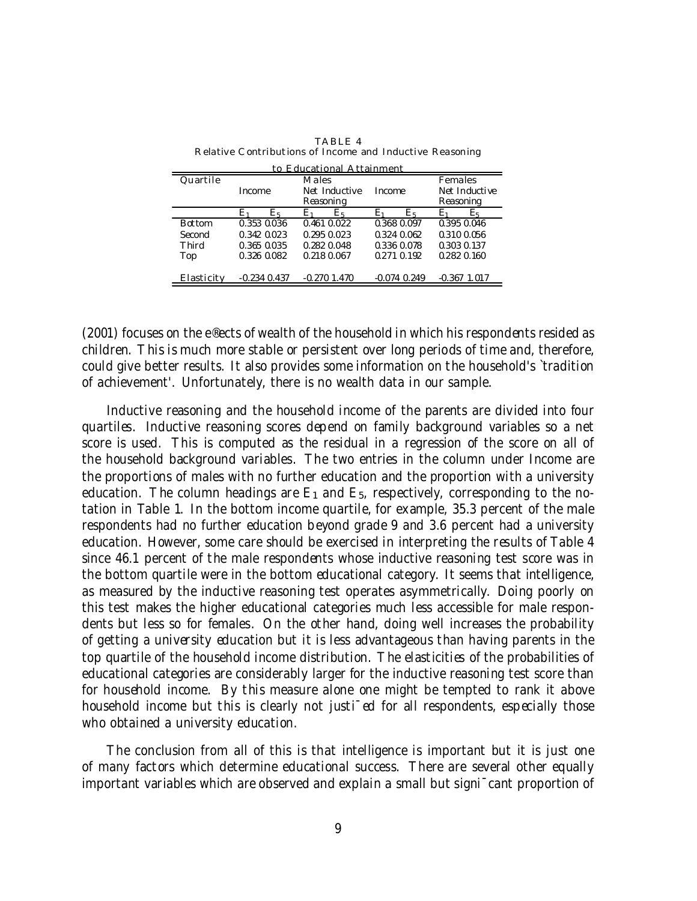| to Educational Attainment |                  |                |                  |                   |  |
|---------------------------|------------------|----------------|------------------|-------------------|--|
| Quartile                  | Males            |                | <b>Females</b>   |                   |  |
|                           | Income           | Net Inductive  | Income           | Net Inductive     |  |
|                           |                  | Reasoning      |                  | Reasoning         |  |
|                           | E۱<br>Łҕ         | E۱<br>E5       | Еĸ               | Eя                |  |
| Bot tom                   | 0.353 0.036      | 0.461 0.022    | 0.368 0.097      | 0.395 0.046       |  |
| Second                    | 0.342 0.023      | 0.295 0.023    | 0.324 0.062      | 0.310 0.056       |  |
| Third                     | 0.365 0.035      | 0.282 0.048    | 0.336 0.078      | 0.303 0.137       |  |
| Top                       | 0.326 0.082      | 0.218 0.067    | 0.271 0.192      | 0.282 0.160       |  |
|                           |                  |                |                  |                   |  |
| Elasticity                | $-0.234$ $0.437$ | $-0.270$ 1.470 | $-0.074$ $0.249$ | $-0.367$<br>1.017 |  |
|                           |                  |                |                  |                   |  |

TABLE 4 Relative Contributions of Income and Inductive Reasoning

(2001) focuses on the e®ects of wealth of the household in which his respondents resided as children. This is much more stable or persistent over long periods of time and, therefore, could give better results. It also provides some information on the household's `tradition of achievement'. Unfortunately, there is no wealth data in our sample.

Inductive reasoning and the household income of the parents are divided into four quartiles. Inductive reasoning scores depend on family background variables so a net score is used. This is computed as the residual in a regression of the score on all of the household background variables. The two entries in the column under Income are the proportions of males with no further education and the proportion with a university education. The column headings are  $E_1$  and  $E_5$ , respectively, corresponding to the notation in Table 1. In the bottom income quartile, for example, 35.3 percent of the male respondents had no further education beyond grade 9 and 3.6 percent had a university education. However, some care should be exercised in interpreting the results of Table 4 since 46.1 percent of the male respondents whose inductive reasoning test score was in the bottom quartile were in the bottom educational category. It seems that intelligence, as measured by the inductive reasoning test operates asymmetrically. Doing poorly on this test makes the higher educational categories much less accessible for male respondents but less so for females. On the other hand, doing well increases the probability of getting a university education but it is less advantageous than having parents in the top quartile of the household income distribution. The elasticities of the probabilities of educational categories are considerably larger for the inductive reasoning test score than for household income. By this measure alone one might be tempted to rank it above household income but this is clearly not justi<sup>-</sup>ed for all respondents, especially those who obtained a university education.

The conclusion from all of this is that intelligence is important but it is just one of many factors which determine educational success. There are several other equally important variables which are observed and explain a small but signi¯cant proportion of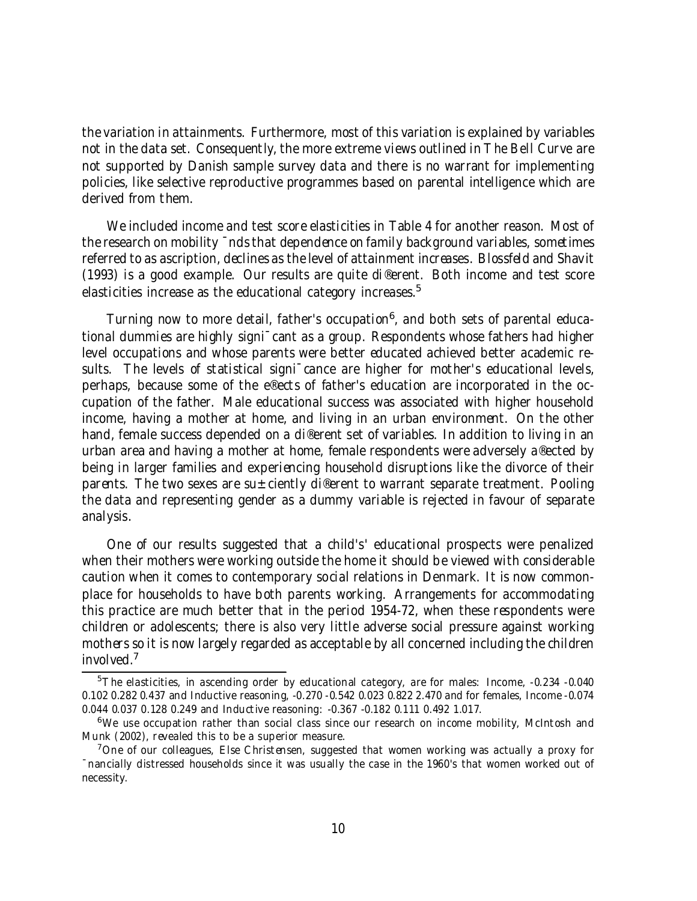the variation in attainments. Furthermore, most of this variation is explained by variables not in the data set. Consequently, the more extreme views outlined in The Bell Curve are not supported by Danish sample survey data and there is no warrant for implementing policies, like selective reproductive programmes based on parental intelligence which are derived from them.

We included income and test score elasticities in Table 4 for another reason. Most of the research on mobility  $\overline{\ }$ nds that dependence on family background variables, sometimes referred to as ascription, declines as the level of attainment increases. Blossfeld and Shavit (1993) is a good example. Our results are quite di®erent. Both income and test score elasticities increase as the educational category increases. 5

Turning now to more detail, father's occupation 6 , and both sets of parental educational dummies are highly signi¯cant as a group. Respondents whose fathers had higher level occupations and whose parents were better educated achieved better academic results. The levels of statistical signi<sup>-</sup>cance are higher for mother's educational levels, perhaps, because some of the e®ects of father's education are incorporated in the occupation of the father. Male educational success was associated with higher household income, having a mother at home, and living in an urban environment. On the other hand, female success depended on a di®erent set of variables. In addition to living in an urban area and having a mother at home, female respondents were adversely a®ected by being in larger families and experiencing household disruptions like the divorce of their parents. The two sexes are su $\pm$ ciently di®erent to warrant separate treatment. Pooling the data and representing gender as a dummy variable is rejected in favour of separate analysis.

One of our results suggested that a child's' educational prospects were penalized when their mothers were working outside the home it should be viewed with considerable caution when it comes to contemporary social relations in Denmark. It is now commonplace for households to have both parents working. Arrangements for accommodating this practice are much better that in the period 1954-72, when these respondents were children or adolescents; there is also very little adverse social pressure against working mothers so it is now largely regarded as acceptable by all concerned including the children involved. 7

<sup>&</sup>lt;sup>5</sup>The elasticities, in ascending order by educational category, are for males: Income, -0.234 -0.040 0.102 0.282 0.437 and Inductive reasoning, -0.270 -0.542 0.023 0.822 2.470 and for females, Income -0.074 0.044 0.037 0.128 0.249 and Inductive reasoning: -0.367 -0.182 0.111 0.492 1.017.

<sup>6</sup>We use occupation rather than social class since our research on income mobility, McIntosh and Munk (2002), revealed this to be a superior measure.

<sup>&</sup>lt;sup>7</sup>One of our colleagues, Else Christensen, suggested that women working was actually a proxy for ¯nancially distressed households since it was usually the case in the 1960's that women worked out of necessity.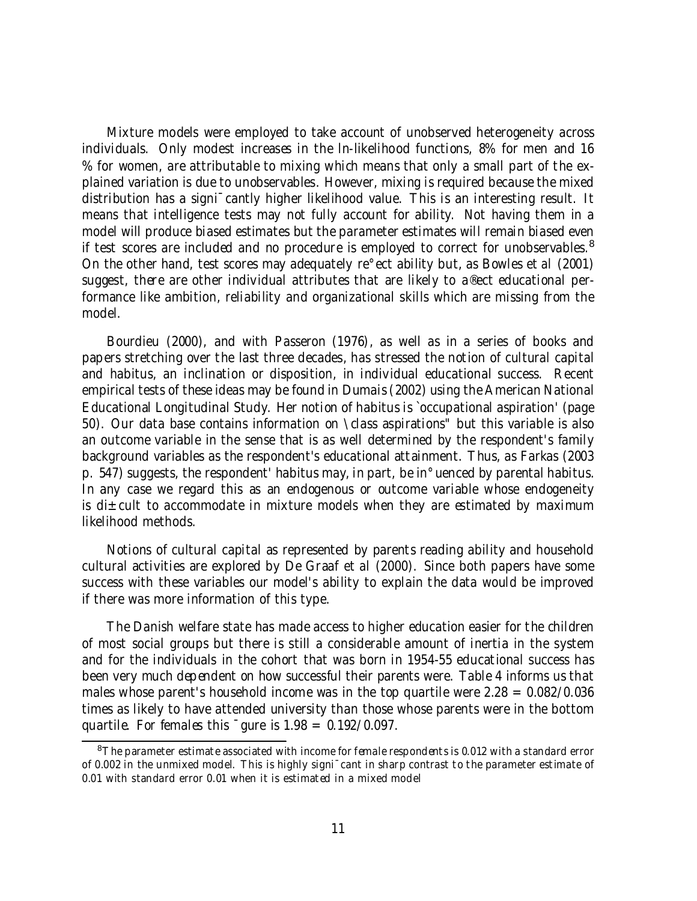Mixture models were employed to take account of unobserved heterogeneity across individuals. Only modest increases in the ln-likelihood functions, 8% for men and 16 % for women, are attributable to mixing which means that only a small part of the explained variation is due to unobservables. However, mixing is required because the mixed distribution has a signi¯cantly higher likelihood value. This is an interesting result. It means that intelligence tests may not fully account for ability. Not having them in a model will produce biased estimates but the parameter estimates will remain biased even if test scores are included and no procedure is employed to correct for unobservables.<sup>8</sup> On the other hand, test scores may adequately re°ect ability but, as Bowles et al (2001) suggest, there are other individual attributes that are likely to a®ect educational performance like ambition, reliability and organizational skills which are missing from the model.

Bourdieu (2000), and with Passeron (1976), as well as in a series of books and papers stretching over the last three decades, has stressed the notion of cultural capital and habitus, an inclination or disposition, in individual educational success. Recent empirical tests of these ideas may be found in Dumais(2002) using the American National Educational Longitudinal Study. Her notion of habitus is `occupational aspiration' (page 50). Our data base contains information on \class aspirations" but this variable is also an outcome variable in the sense that is as well determined by the respondent's family background variables as the respondent's educational attainment. Thus, as Farkas (2003 p. 547) suggests, the respondent' habitus may, in part, be in°uenced by parental habitus. In any case we regard this as an endogenous or outcome variable whose endogeneity is di $\pm$ cult to accommodate in mixture models when they are estimated by maximum likelihood methods.

Notions of cultural capital as represented by parents reading ability and household cultural activities are explored by De Graaf et al (2000). Since both papers have some success with these variables our model's ability to explain the data would be improved if there was more information of this type.

The Danish welfare state has made access to higher education easier for the children of most social groups but there is still a considerable amount of inertia in the system and for the individuals in the cohort that was born in 1954-55 educational success has been very much dependent on how successful their parents were. Table 4 informs us that males whose parent's household income was in the top quartile were  $2.28 = 0.082/0.036$ times as likely to have attended university than those whose parents were in the bottom quartile. For females this  $\overline{\phantom{a}}$  gure is 1.98 = 0.192/0.097.

 $8$ The parameter estimate associated with income for female respondents is 0.012 with a standard error of 0.002 in the unmixed model. This is highly signi¯cant in sharp contrast to the parameter estimate of 0.01 with standard error 0.01 when it is estimated in a mixed model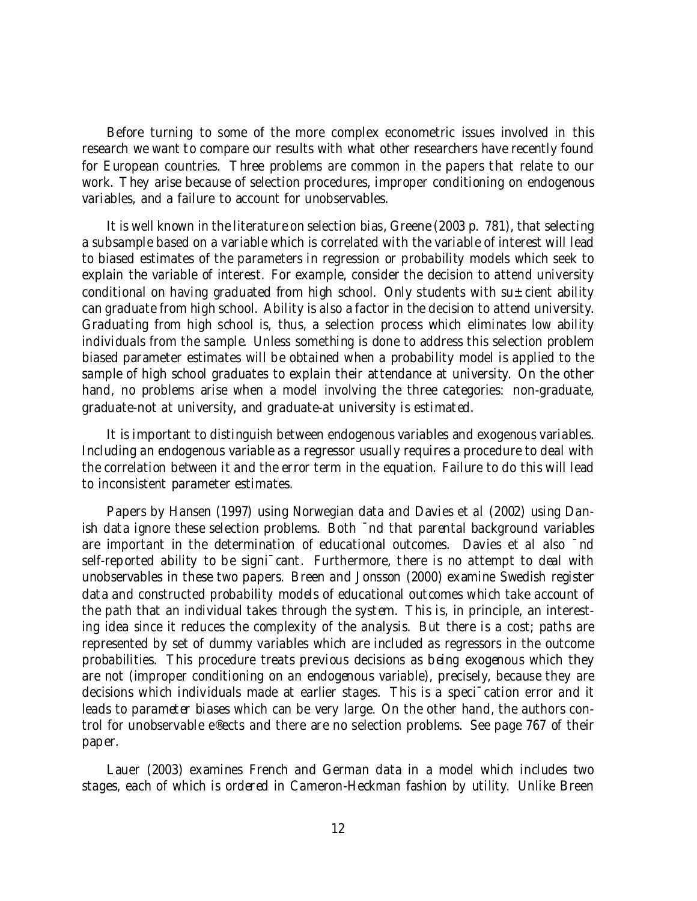Before turning to some of the more complex econometric issues involved in this research we want to compare our results with what other researchers have recently found for European countries. Three problems are common in the papers that relate to our work. They arise because of selection procedures, improper conditioning on endogenous variables, and a failure to account for unobservables.

It is well known in the literature on selection bias, Greene (2003 p. 781), that selecting a subsample based on a variable which is correlated with the variable of interest will lead to biased estimates of the parameters in regression or probability models which seek to explain the variable of interest. For example, consider the decision to attend university conditional on having graduated from high school. Only students with su $\pm$ cient ability can graduate from high school. Ability is also a factor in the decision to attend university. Graduating from high school is, thus, a selection process which eliminates low ability individuals from the sample. Unless something is done to address this selection problem biased parameter estimates will be obtained when a probability model is applied to the sample of high school graduates to explain their attendance at university. On the other hand, no problems arise when a model involving the three categories: non-graduate, graduate-not at university, and graduate-at university is estimated.

It is important to distinguish between endogenous variables and exogenous variables. Including an endogenous variable as a regressor usually requires a procedure to deal with the correlation between it and the error term in the equation. Failure to do this will lead to inconsistent parameter estimates.

Papers by Hansen (1997) using Norwegian data and Davies et al (2002) using Danish data ignore these selection problems. Both ¯nd that parental background variables are important in the determination of educational outcomes. Davies et al also ¯nd self-reported ability to be signi<sup>-</sup>cant. Furthermore, there is no attempt to deal with unobservables in these two papers. Breen and Jonsson (2000) examine Swedish register data and constructed probability models of educational outcomes which take account of the path that an individual takes through the system. This is, in principle, an interesting idea since it reduces the complexity of the analysis. But there is a cost; paths are represented by set of dummy variables which are included as regressors in the outcome probabilities. This procedure treats previous decisions as being exogenous which they are not (improper conditioning on an endogenous variable), precisely, because they are decisions which individuals made at earlier stages. This is a speci¯cation error and it leads to parameter biases which can be very large. On the other hand, the authors control for unobservable e®ects and there are no selection problems. See page 767 of their paper.

Lauer (2003) examines French and German data in a model which includes two stages, each of which is ordered in Cameron-Heckman fashion by utility. Unlike Breen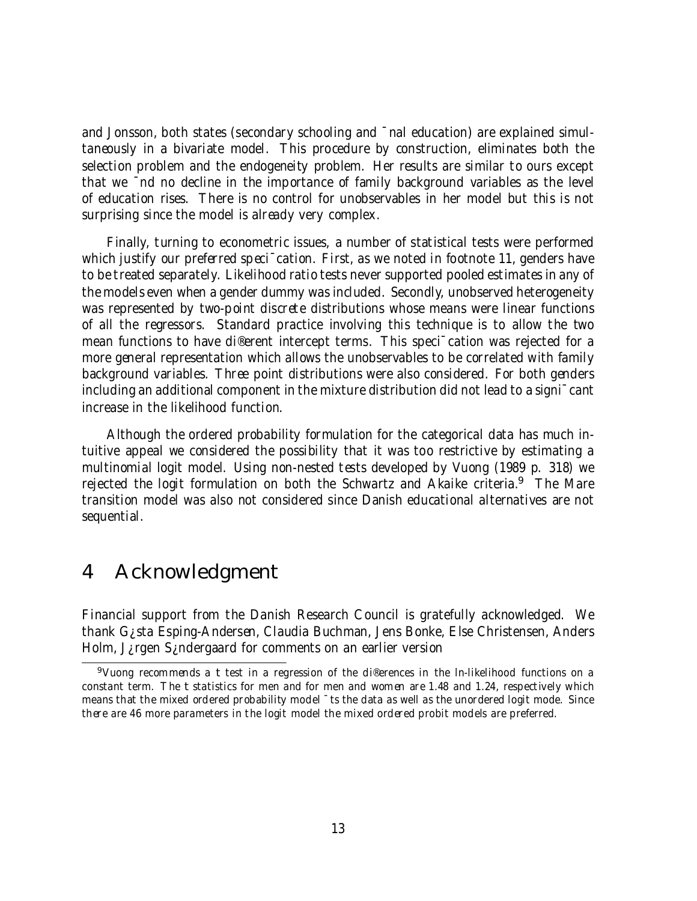and Jonsson, both states (secondary schooling and ¯nal education) are explained simultaneously in a bivariate model. This procedure by construction, eliminates both the selection problem and the endogeneity problem. Her results are similar to ours except that we ¯nd no decline in the importance of family background variables as the level of education rises. There is no control for unobservables in her model but this is not surprising since the model is already very complex.

Finally, turning to econometric issues, a number of statistical tests were performed which justify our preferred speci<sup>-</sup>cation. First, as we noted in footnote 11, genders have to be treated separately. Likelihood ratio tests never supported pooled estimates in any of the models even when a gender dummy was included. Secondly, unobserved heterogeneity was represented by two-point discrete distributions whose means were linear functions of all the regressors. Standard practice involving this technique is to allow the two mean functions to have di®erent intercept terms. This speci¯cation was rejected for a more general representation which allows the unobservables to be correlated with family background variables. Three point distributions were also considered. For both genders including an additional component in the mixture distribution did not lead to a signi¯cant increase in the likelihood function.

Although the ordered probability formulation for the categorical data has much intuitive appeal we considered the possibility that it was too restrictive by estimating a multinomial logit model. Using non-nested tests developed by Vuong (1989 p. 318) we rejected the logit formulation on both the Schwartz and Akaike criteria.<sup>9</sup> The Mare transition model was also not considered since Danish educational alternatives are not sequential.

## 4 Acknowledgment

Financial support from the Danish Research Council is gratefully acknowledged. We thank G¿sta Esping-Andersen, Claudia Buchman, Jens Bonke, Else Christensen, Anders Holm, J¿rgen S¿ndergaard for comments on an earlier version

<sup>&</sup>lt;sup>9</sup>Vuong recommends a t test in a regression of the di®erences in the In-likelihood functions on a constant term. The t statistics for men and for men and women are 1.48 and 1.24, respectively which means that the mixed ordered probability model ¯ts the data as well as the unordered logit mode. Since there are 46 more parameters in the logit model the mixed ordered probit models are preferred.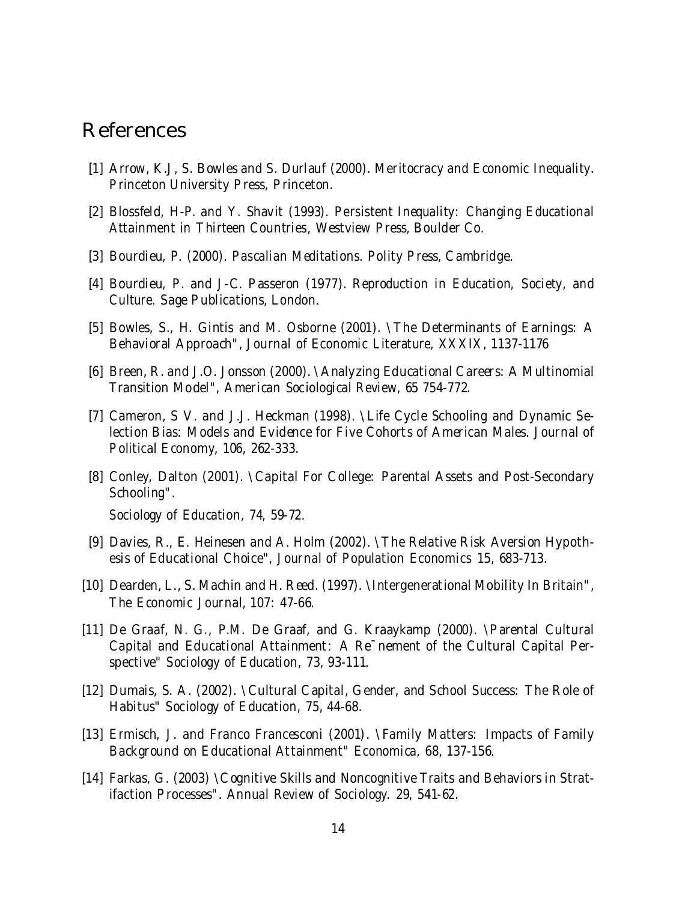### References

- [1] Arrow, K.J, S. Bowles and S. Durlauf (2000). Meritocracy and Economic Inequality. Princeton University Press, Princeton.
- [2] Blossfeld, H-P. and Y. Shavit (1993). Persistent Inequality: Changing Educational Attainment in Thirteen Countries, Westview Press, Boulder Co.
- [3] Bourdieu, P. (2000). Pascalian Meditations. Polity Press, Cambridge.
- [4] Bourdieu, P. and J-C. Passeron (1977). Reproduction in Education, Society, and Culture. Sage Publications, London.
- [5] Bowles, S., H. Gintis and M. Osborne (2001). \The Determinants of Earnings: A Behavioral Approach", Journal of Economic Literature, XXXIX, 1137-1176
- [6] Breen, R. and J.O. Jonsson (2000). \Analyzing Educational Careers: A Multinomial Transition Model", American Sociological Review, 65 754-772.
- [7] Cameron, S V. and J.J. Heckman (1998). \Life Cycle Schooling and Dynamic Selection Bias: Models and Evidence for Five Cohorts of American Males. Journal of Political Economy, 106, 262-333.
- [8] Conley, Dalton (2001). \Capital For College: Parental Assets and Post-Secondary Schooling".

Sociology of Education, 74, 59-72.

- [9] Davies, R., E. Heinesen and A. Holm (2002). \The Relative Risk Aversion Hypothesis of Educational Choice", Journal of Population Economics 15, 683-713.
- [10] Dearden, L., S. Machin and H. Reed. (1997). \Intergenerational Mobility In Britain", The Economic Journal, 107: 47-66.
- [11] De Graaf, N. G., P.M. De Graaf, and G. Kraaykamp (2000). \Parental Cultural Capital and Educational Attainment: A Re¯nement of the Cultural Capital Perspective" Sociology of Education, 73, 93-111.
- [12] Dumais, S. A. (2002). \Cultural Capital, Gender, and School Success: The Role of Habitus" Sociology of Education, 75, 44-68.
- [13] Ermisch, J. and Franco Francesconi (2001). \Family Matters: Impacts of Family Background on Educational Attainment" Economica, 68, 137-156.
- [14] Farkas, G. (2003) \Cognitive Skills and Noncognitive Traits and Behaviors in Stratifaction Processes". Annual Review of Sociology. 29, 541-62.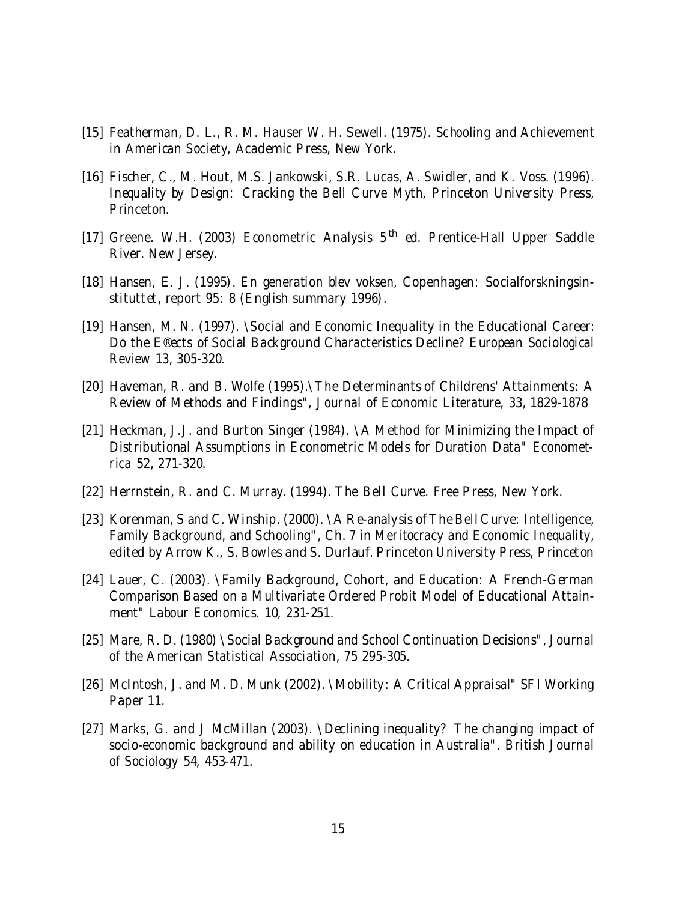- [15] Featherman, D. L., R. M. Hauser W. H. Sewell. (1975). Schooling and Achievement in American Society, Academic Press, New York.
- [16] Fischer, C., M. Hout, M.S. Jankowski, S.R. Lucas, A. Swidler, and K. Voss. (1996). Inequality by Design: Cracking the Bell Curve Myth, Princeton University Press, Princeton.
- [17] Greene. W.H. (2003) Econometric Analysis 5<sup>th</sup> ed. Prentice-Hall Upper Saddle River. New Jersey.
- [18] Hansen, E. J. (1995). En generation blev voksen, Copenhagen: Socialforskningsinstituttet, report 95: 8 (English summary 1996).
- [19] Hansen, M. N. (1997). \Social and Economic Inequality in the Educational Career: Do the E®ects of Social Background Characteristics Decline? European Sociological Review 13, 305-320.
- [20] Haveman, R. and B. Wolfe (1995).\The Determinants of Childrens' Attainments: A Review of Methods and Findings", Journal of Economic Literature, 33, 1829-1878
- [21] Heckman, J.J. and Burton Singer (1984). \A Method for Minimizing the Impact of Distributional Assumptions in Econometric Models for Duration Data" Econometrica 52, 271-320.
- [22] Herrnstein, R. and C. Murray. (1994). The Bell Curve. Free Press, New York.
- [23] Korenman, S and C. Winship. (2000). \A Re-analysis of The Bell Curve: Intelligence, Family Background, and Schooling", Ch. 7 in Meritocracy and Economic Inequality, edited by Arrow K., S. Bowles and S. Durlauf. Princeton University Press, Princeton
- [24] Lauer, C. (2003). \Family Background, Cohort, and Education: A French-German Comparison Based on a Multivariate Ordered Probit Model of Educational Attainment" Labour Economics. 10, 231-251.
- [25] Mare, R. D. (1980) \Social Background and School Continuation Decisions", Journal of the American Statistical Association, 75 295-305.
- [26] McIntosh, J. and M. D. Munk (2002). \Mobility: A Critical Appraisal" SFI Working Paper 11.
- [27] Marks, G. and J McMillan (2003). \Declining inequality? The changing impact of socio-economic background and ability on education in Australia". British Journal of Sociology 54, 453-471.